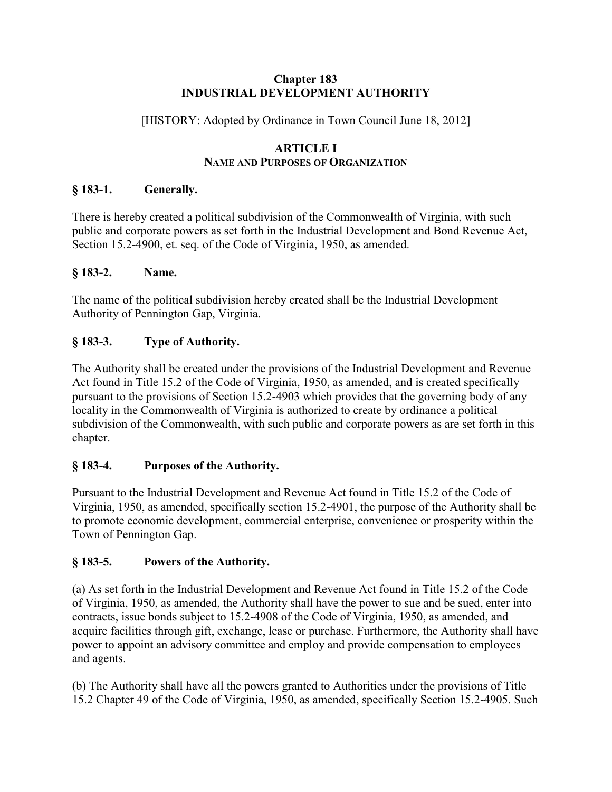#### **Chapter 183 INDUSTRIAL DEVELOPMENT AUTHORITY**

[HISTORY: Adopted by Ordinance in Town Council June 18, 2012]

#### **ARTICLE I NAME AND PURPOSES OF ORGANIZATION**

## **§ 183-1. Generally.**

There is hereby created a political subdivision of the Commonwealth of Virginia, with such public and corporate powers as set forth in the Industrial Development and Bond Revenue Act, Section 15.2-4900, et. seq. of the Code of Virginia, 1950, as amended.

## **§ 183-2. Name.**

The name of the political subdivision hereby created shall be the Industrial Development Authority of Pennington Gap, Virginia.

# **§ 183-3. Type of Authority.**

The Authority shall be created under the provisions of the Industrial Development and Revenue Act found in Title 15.2 of the Code of Virginia, 1950, as amended, and is created specifically pursuant to the provisions of Section 15.2-4903 which provides that the governing body of any locality in the Commonwealth of Virginia is authorized to create by ordinance a political subdivision of the Commonwealth, with such public and corporate powers as are set forth in this chapter.

# **§ 183-4. Purposes of the Authority.**

Pursuant to the Industrial Development and Revenue Act found in Title 15.2 of the Code of Virginia, 1950, as amended, specifically section 15.2-4901, the purpose of the Authority shall be to promote economic development, commercial enterprise, convenience or prosperity within the Town of Pennington Gap.

# **§ 183-5. Powers of the Authority.**

(a) As set forth in the Industrial Development and Revenue Act found in Title 15.2 of the Code of Virginia, 1950, as amended, the Authority shall have the power to sue and be sued, enter into contracts, issue bonds subject to 15.2-4908 of the Code of Virginia, 1950, as amended, and acquire facilities through gift, exchange, lease or purchase. Furthermore, the Authority shall have power to appoint an advisory committee and employ and provide compensation to employees and agents.

(b) The Authority shall have all the powers granted to Authorities under the provisions of Title 15.2 Chapter 49 of the Code of Virginia, 1950, as amended, specifically Section 15.2-4905. Such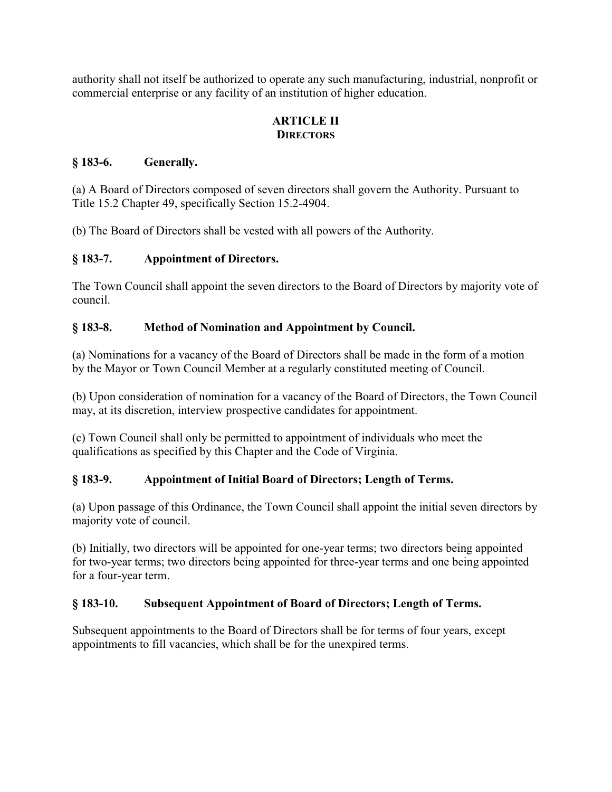authority shall not itself be authorized to operate any such manufacturing, industrial, nonprofit or commercial enterprise or any facility of an institution of higher education.

### **ARTICLE II DIRECTORS**

### **§ 183-6. Generally.**

(a) A Board of Directors composed of seven directors shall govern the Authority. Pursuant to Title 15.2 Chapter 49, specifically Section 15.2-4904.

(b) The Board of Directors shall be vested with all powers of the Authority.

### **§ 183-7. Appointment of Directors.**

The Town Council shall appoint the seven directors to the Board of Directors by majority vote of council.

### **§ 183-8. Method of Nomination and Appointment by Council.**

(a) Nominations for a vacancy of the Board of Directors shall be made in the form of a motion by the Mayor or Town Council Member at a regularly constituted meeting of Council.

(b) Upon consideration of nomination for a vacancy of the Board of Directors, the Town Council may, at its discretion, interview prospective candidates for appointment.

(c) Town Council shall only be permitted to appointment of individuals who meet the qualifications as specified by this Chapter and the Code of Virginia.

## **§ 183-9. Appointment of Initial Board of Directors; Length of Terms.**

(a) Upon passage of this Ordinance, the Town Council shall appoint the initial seven directors by majority vote of council.

(b) Initially, two directors will be appointed for one-year terms; two directors being appointed for two-year terms; two directors being appointed for three-year terms and one being appointed for a four-year term.

#### **§ 183-10. Subsequent Appointment of Board of Directors; Length of Terms.**

Subsequent appointments to the Board of Directors shall be for terms of four years, except appointments to fill vacancies, which shall be for the unexpired terms.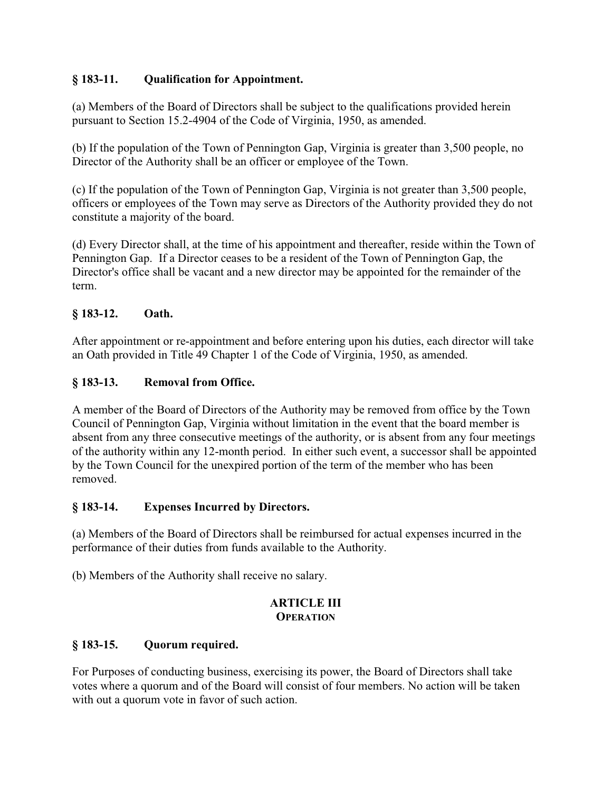## **§ 183-11. Qualification for Appointment.**

(a) Members of the Board of Directors shall be subject to the qualifications provided herein pursuant to Section 15.2-4904 of the Code of Virginia, 1950, as amended.

(b) If the population of the Town of Pennington Gap, Virginia is greater than 3,500 people, no Director of the Authority shall be an officer or employee of the Town.

(c) If the population of the Town of Pennington Gap, Virginia is not greater than 3,500 people, officers or employees of the Town may serve as Directors of the Authority provided they do not constitute a majority of the board.

(d) Every Director shall, at the time of his appointment and thereafter, reside within the Town of Pennington Gap. If a Director ceases to be a resident of the Town of Pennington Gap, the Director's office shall be vacant and a new director may be appointed for the remainder of the term.

## **§ 183-12. Oath.**

After appointment or re-appointment and before entering upon his duties, each director will take an Oath provided in Title 49 Chapter 1 of the Code of Virginia, 1950, as amended.

## **§ 183-13. Removal from Office.**

A member of the Board of Directors of the Authority may be removed from office by the Town Council of Pennington Gap, Virginia without limitation in the event that the board member is absent from any three consecutive meetings of the authority, or is absent from any four meetings of the authority within any 12-month period. In either such event, a successor shall be appointed by the Town Council for the unexpired portion of the term of the member who has been removed.

## **§ 183-14. Expenses Incurred by Directors.**

(a) Members of the Board of Directors shall be reimbursed for actual expenses incurred in the performance of their duties from funds available to the Authority.

(b) Members of the Authority shall receive no salary.

#### **ARTICLE III OPERATION**

## **§ 183-15. Quorum required.**

For Purposes of conducting business, exercising its power, the Board of Directors shall take votes where a quorum and of the Board will consist of four members. No action will be taken with out a quorum vote in favor of such action.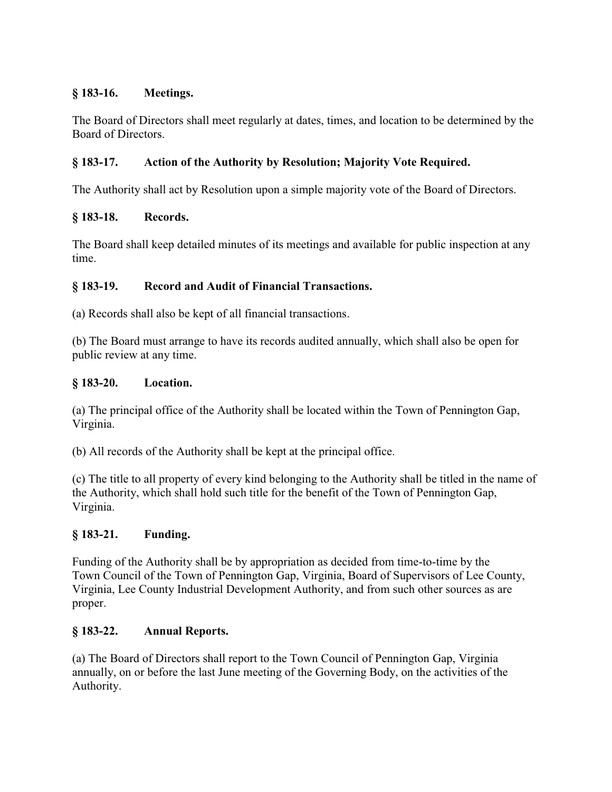### **§ 183-16. Meetings.**

The Board of Directors shall meet regularly at dates, times, and location to be determined by the Board of Directors.

### **§ 183-17. Action of the Authority by Resolution; Majority Vote Required.**

The Authority shall act by Resolution upon a simple majority vote of the Board of Directors.

### **§ 183-18. Records.**

The Board shall keep detailed minutes of its meetings and available for public inspection at any time.

### **§ 183-19. Record and Audit of Financial Transactions.**

(a) Records shall also be kept of all financial transactions.

(b) The Board must arrange to have its records audited annually, which shall also be open for public review at any time.

#### **§ 183-20. Location.**

(a) The principal office of the Authority shall be located within the Town of Pennington Gap, Virginia.

(b) All records of the Authority shall be kept at the principal office.

(c) The title to all property of every kind belonging to the Authority shall be titled in the name of the Authority, which shall hold such title for the benefit of the Town of Pennington Gap, Virginia.

#### **§ 183-21. Funding.**

Funding of the Authority shall be by appropriation as decided from time-to-time by the Town Council of the Town of Pennington Gap, Virginia, Board of Supervisors of Lee County, Virginia, Lee County Industrial Development Authority, and from such other sources as are proper.

#### **§ 183-22. Annual Reports.**

(a) The Board of Directors shall report to the Town Council of Pennington Gap, Virginia annually, on or before the last June meeting of the Governing Body, on the activities of the Authority.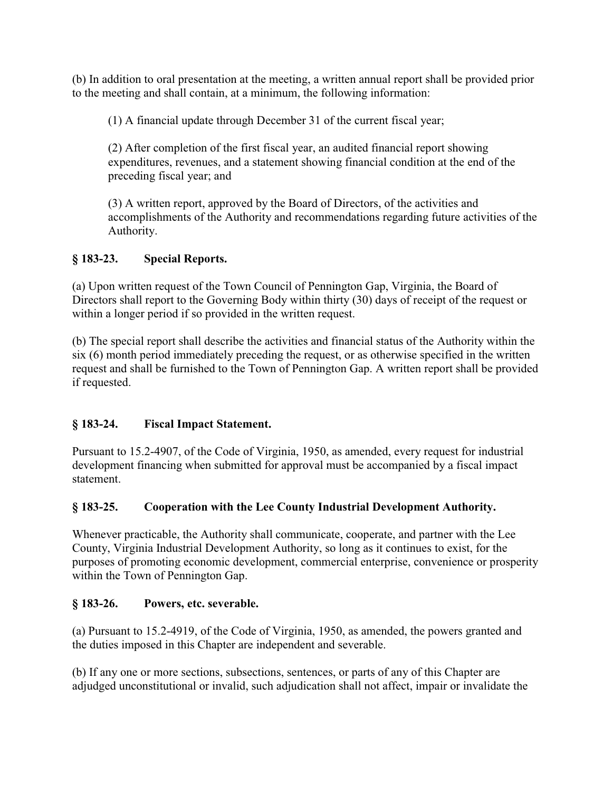(b) In addition to oral presentation at the meeting, a written annual report shall be provided prior to the meeting and shall contain, at a minimum, the following information:

(1) A financial update through December 31 of the current fiscal year;

(2) After completion of the first fiscal year, an audited financial report showing expenditures, revenues, and a statement showing financial condition at the end of the preceding fiscal year; and

(3) A written report, approved by the Board of Directors, of the activities and accomplishments of the Authority and recommendations regarding future activities of the Authority.

# **§ 183-23. Special Reports.**

(a) Upon written request of the Town Council of Pennington Gap, Virginia, the Board of Directors shall report to the Governing Body within thirty (30) days of receipt of the request or within a longer period if so provided in the written request.

(b) The special report shall describe the activities and financial status of the Authority within the six (6) month period immediately preceding the request, or as otherwise specified in the written request and shall be furnished to the Town of Pennington Gap. A written report shall be provided if requested.

# **§ 183-24. Fiscal Impact Statement.**

Pursuant to 15.2-4907, of the Code of Virginia, 1950, as amended, every request for industrial development financing when submitted for approval must be accompanied by a fiscal impact statement.

# **§ 183-25. Cooperation with the Lee County Industrial Development Authority.**

Whenever practicable, the Authority shall communicate, cooperate, and partner with the Lee County, Virginia Industrial Development Authority, so long as it continues to exist, for the purposes of promoting economic development, commercial enterprise, convenience or prosperity within the Town of Pennington Gap.

## **§ 183-26. Powers, etc. severable.**

(a) Pursuant to 15.2-4919, of the Code of Virginia, 1950, as amended, the powers granted and the duties imposed in this Chapter are independent and severable.

(b) If any one or more sections, subsections, sentences, or parts of any of this Chapter are adjudged unconstitutional or invalid, such adjudication shall not affect, impair or invalidate the